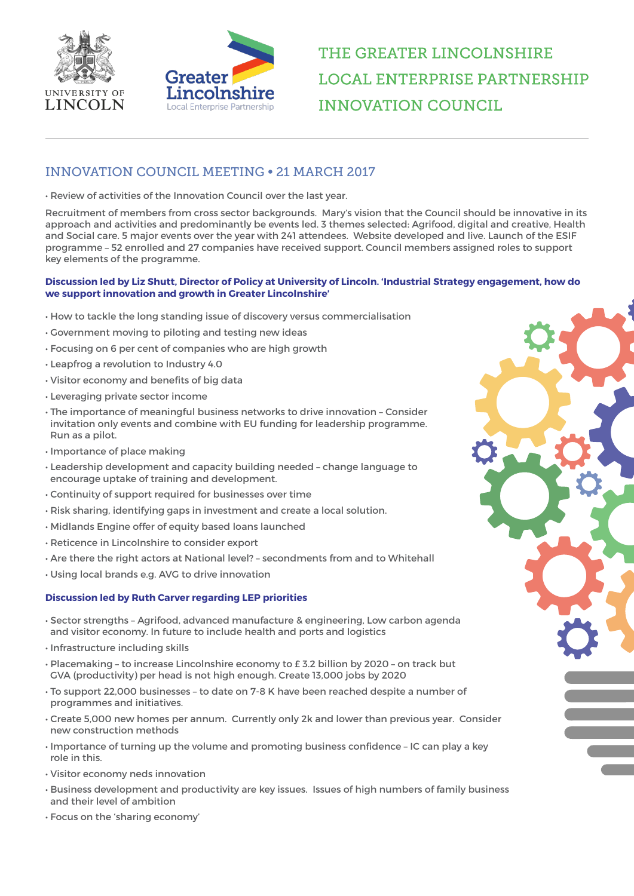



## THE GREATER LINCOLNSHIRE **LOCAL ENTERPRISE PARTNERSHIP INNOVATION COUNCIL**

## INNOVATION COUNCIL MEETING • 21 MARCH 2017

• Review of activities of the Innovation Council over the last year.

Recruitment of members from cross sector backgrounds. Mary's vision that the Council should be innovative in its approach and activities and predominantly be events led. 3 themes selected: Agrifood, digital and creative, Health and Social care. 5 major events over the year with 241 attendees. Website developed and live. Launch of the ESIF programme – 52 enrolled and 27 companies have received support. Council members assigned roles to support key elements of the programme.

## **Discussion led by Liz Shutt, Director of Policy at University of Lincoln. 'Industrial Strategy engagement, how do we support innovation and growth in Greater Lincolnshire'**

- How to tackle the long standing issue of discovery versus commercialisation
- Government moving to piloting and testing new ideas
- Focusing on 6 per cent of companies who are high growth
- Leapfrog a revolution to Industry 4.0
- Visitor economy and benefits of big data
- Leveraging private sector income
- The importance of meaningful business networks to drive innovation Consider invitation only events and combine with EU funding for leadership programme. Run as a pilot.
- Importance of place making
- Leadership development and capacity building needed change language to encourage uptake of training and development.
- Continuity of support required for businesses over time
- Risk sharing, identifying gaps in investment and create a local solution.
- Midlands Engine offer of equity based loans launched
- Reticence in Lincolnshire to consider export
- Are there the right actors at National level? secondments from and to Whitehall
- Using local brands e.g. AVG to drive innovation

## **Discussion led by Ruth Carver regarding LEP priorities**

- Sector strengths Agrifood, advanced manufacture & engineering, Low carbon agenda and visitor economy. In future to include health and ports and logistics
- Infrastructure including skills
- Placemaking to increase Lincolnshire economy to £ 3.2 billion by 2020 on track but GVA (productivity) per head is not high enough. Create 13,000 jobs by 2020
- To support 22,000 businesses to date on 7-8 K have been reached despite a number of programmes and initiatives.
- Create 5,000 new homes per annum. Currently only 2k and lower than previous year. Consider new construction methods
- Importance of turning up the volume and promoting business confidence IC can play a key role in this.
- Visitor economy neds innovation
- Business development and productivity are key issues. Issues of high numbers of family business and their level of ambition
- Focus on the 'sharing economy'